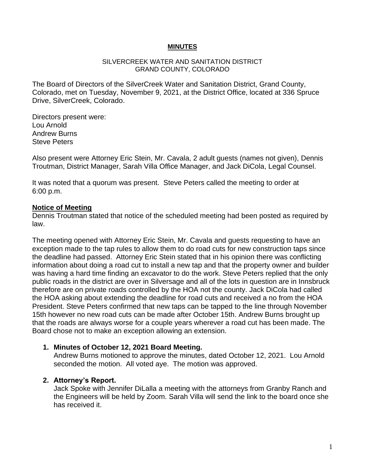#### **MINUTES**

#### SILVERCREEK WATER AND SANITATION DISTRICT GRAND COUNTY, COLORADO

The Board of Directors of the SilverCreek Water and Sanitation District, Grand County, Colorado, met on Tuesday, November 9, 2021, at the District Office, located at 336 Spruce Drive, SilverCreek, Colorado.

Directors present were: Lou Arnold Andrew Burns Steve Peters

Also present were Attorney Eric Stein, Mr. Cavala, 2 adult guests (names not given), Dennis Troutman, District Manager, Sarah Villa Office Manager, and Jack DiCola, Legal Counsel.

It was noted that a quorum was present. Steve Peters called the meeting to order at 6:00 p.m.

#### **Notice of Meeting**

Dennis Troutman stated that notice of the scheduled meeting had been posted as required by law.

The meeting opened with Attorney Eric Stein, Mr. Cavala and guests requesting to have an exception made to the tap rules to allow them to do road cuts for new construction taps since the deadline had passed. Attorney Eric Stein stated that in his opinion there was conflicting information about doing a road cut to install a new tap and that the property owner and builder was having a hard time finding an excavator to do the work. Steve Peters replied that the only public roads in the district are over in Silversage and all of the lots in question are in Innsbruck therefore are on private roads controlled by the HOA not the county. Jack DiCola had called the HOA asking about extending the deadline for road cuts and received a no from the HOA President. Steve Peters confirmed that new taps can be tapped to the line through November 15th however no new road cuts can be made after October 15th. Andrew Burns brought up that the roads are always worse for a couple years wherever a road cut has been made. The Board chose not to make an exception allowing an extension.

#### **1. Minutes of October 12, 2021 Board Meeting.**

Andrew Burns motioned to approve the minutes, dated October 12, 2021. Lou Arnold seconded the motion. All voted aye. The motion was approved.

## **2. Attorney's Report.**

Jack Spoke with Jennifer DiLalla a meeting with the attorneys from Granby Ranch and the Engineers will be held by Zoom. Sarah Villa will send the link to the board once she has received it.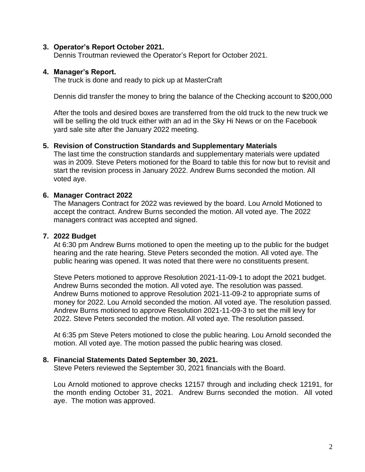### **3. Operator's Report October 2021.**

Dennis Troutman reviewed the Operator's Report for October 2021.

### **4. Manager's Report.**

The truck is done and ready to pick up at MasterCraft

Dennis did transfer the money to bring the balance of the Checking account to \$200,000

After the tools and desired boxes are transferred from the old truck to the new truck we will be selling the old truck either with an ad in the Sky Hi News or on the Facebook yard sale site after the January 2022 meeting.

## **5. Revision of Construction Standards and Supplementary Materials**

The last time the construction standards and supplementary materials were updated was in 2009. Steve Peters motioned for the Board to table this for now but to revisit and start the revision process in January 2022. Andrew Burns seconded the motion. All voted aye.

### **6. Manager Contract 2022**

The Managers Contract for 2022 was reviewed by the board. Lou Arnold Motioned to accept the contract. Andrew Burns seconded the motion. All voted aye. The 2022 managers contract was accepted and signed.

#### **7. 2022 Budget**

At 6:30 pm Andrew Burns motioned to open the meeting up to the public for the budget hearing and the rate hearing. Steve Peters seconded the motion. All voted aye. The public hearing was opened. It was noted that there were no constituents present.

Steve Peters motioned to approve Resolution 2021-11-09-1 to adopt the 2021 budget. Andrew Burns seconded the motion. All voted aye. The resolution was passed. Andrew Burns motioned to approve Resolution 2021-11-09-2 to appropriate sums of money for 2022. Lou Arnold seconded the motion. All voted aye. The resolution passed. Andrew Burns motioned to approve Resolution 2021-11-09-3 to set the mill levy for 2022. Steve Peters seconded the motion. All voted aye. The resolution passed.

At 6:35 pm Steve Peters motioned to close the public hearing. Lou Arnold seconded the motion. All voted aye. The motion passed the public hearing was closed.

#### **8. Financial Statements Dated September 30, 2021.**

Steve Peters reviewed the September 30, 2021 financials with the Board.

Lou Arnold motioned to approve checks 12157 through and including check 12191, for the month ending October 31, 2021. Andrew Burns seconded the motion. All voted aye. The motion was approved.